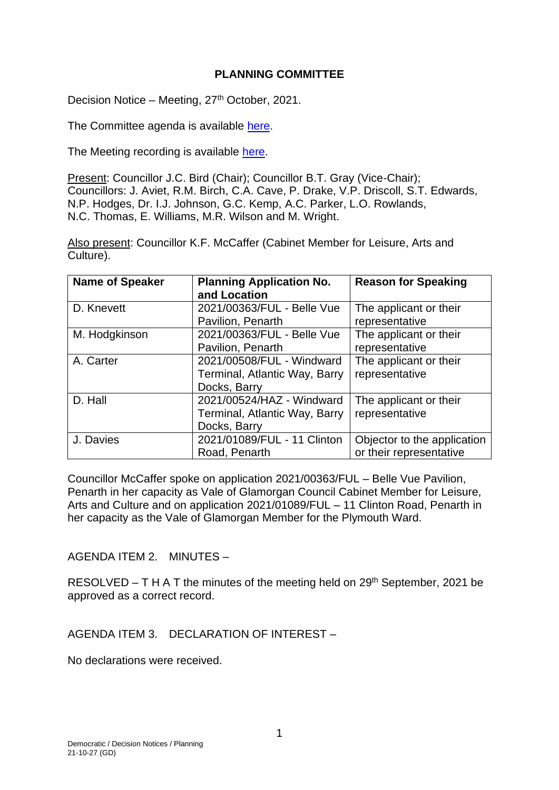#### **PLANNING COMMITTEE**

Decision Notice – Meeting, 27<sup>th</sup> October, 2021.

The Committee agenda is available [here.](https://www.valeofglamorgan.gov.uk/en/our_council/Council-Structure/minutes,_agendas_and_reports/agendas/planning/2021/21-10-27.aspx)

The Meeting recording is available [here.](https://www.youtube.com/watch?v=aLIY0KzU9OI&list=PLzt4i14pgqIEYTpGwpnqhxqyIIskR95ke&index=1&t=166s)

Present: Councillor J.C. Bird (Chair); Councillor B.T. Gray (Vice-Chair); Councillors: J. Aviet, R.M. Birch, C.A. Cave, P. Drake, V.P. Driscoll, S.T. Edwards, N.P. Hodges, Dr. I.J. Johnson, G.C. Kemp, A.C. Parker, L.O. Rowlands, N.C. Thomas, E. Williams, M.R. Wilson and M. Wright.

Also present: Councillor K.F. McCaffer (Cabinet Member for Leisure, Arts and Culture).

| <b>Name of Speaker</b> | <b>Planning Application No.</b><br>and Location                            | <b>Reason for Speaking</b>                             |
|------------------------|----------------------------------------------------------------------------|--------------------------------------------------------|
| D. Knevett             | 2021/00363/FUL - Belle Vue<br>Pavilion, Penarth                            | The applicant or their<br>representative               |
| M. Hodgkinson          | 2021/00363/FUL - Belle Vue<br>Pavilion, Penarth                            | The applicant or their<br>representative               |
| A. Carter              | 2021/00508/FUL - Windward<br>Terminal, Atlantic Way, Barry<br>Docks, Barry | The applicant or their<br>representative               |
| D. Hall                | 2021/00524/HAZ - Windward<br>Terminal, Atlantic Way, Barry<br>Docks, Barry | The applicant or their<br>representative               |
| J. Davies              | 2021/01089/FUL - 11 Clinton<br>Road, Penarth                               | Objector to the application<br>or their representative |

Councillor McCaffer spoke on application 2021/00363/FUL – Belle Vue Pavilion, Penarth in her capacity as Vale of Glamorgan Council Cabinet Member for Leisure, Arts and Culture and on application 2021/01089/FUL – 11 Clinton Road, Penarth in her capacity as the Vale of Glamorgan Member for the Plymouth Ward.

#### AGENDA ITEM 2. MINUTES –

RESOLVED – T H A T the minutes of the meeting held on 29<sup>th</sup> September, 2021 be approved as a correct record.

AGENDA ITEM 3. DECLARATION OF INTEREST –

No declarations were received.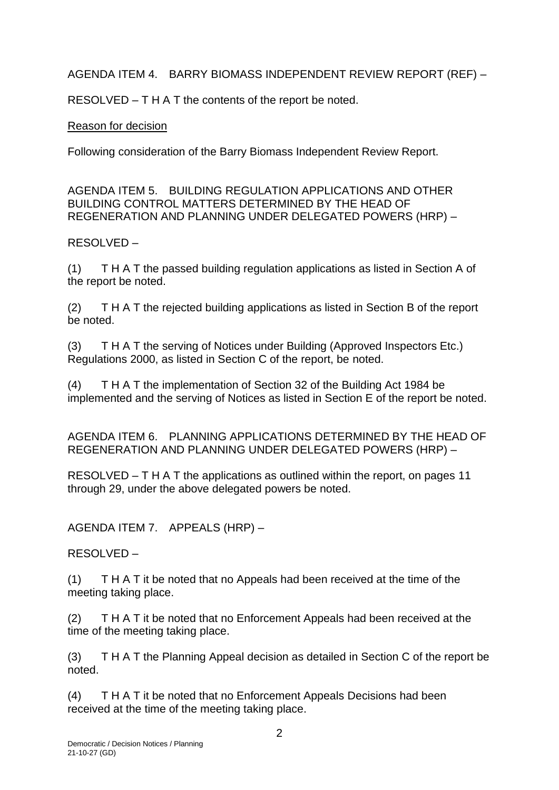AGENDA ITEM 4. BARRY BIOMASS INDEPENDENT REVIEW REPORT (REF) –

RESOLVED – T H A T the contents of the report be noted.

# Reason for decision

Following consideration of the Barry Biomass Independent Review Report.

AGENDA ITEM 5. BUILDING REGULATION APPLICATIONS AND OTHER BUILDING CONTROL MATTERS DETERMINED BY THE HEAD OF REGENERATION AND PLANNING UNDER DELEGATED POWERS (HRP) –

RESOLVED –

(1) T H A T the passed building regulation applications as listed in Section A of the report be noted.

(2) T H A T the rejected building applications as listed in Section B of the report be noted.

(3) T H A T the serving of Notices under Building (Approved Inspectors Etc.) Regulations 2000, as listed in Section C of the report, be noted.

(4) T H A T the implementation of Section 32 of the Building Act 1984 be implemented and the serving of Notices as listed in Section E of the report be noted.

AGENDA ITEM 6. PLANNING APPLICATIONS DETERMINED BY THE HEAD OF REGENERATION AND PLANNING UNDER DELEGATED POWERS (HRP) –

RESOLVED – T H A T the applications as outlined within the report, on pages 11 through 29, under the above delegated powers be noted.

AGENDA ITEM 7. APPEALS (HRP) –

RESOLVED –

(1) T H A T it be noted that no Appeals had been received at the time of the meeting taking place.

(2) T H A T it be noted that no Enforcement Appeals had been received at the time of the meeting taking place.

(3) T H A T the Planning Appeal decision as detailed in Section C of the report be noted.

(4) T H A T it be noted that no Enforcement Appeals Decisions had been received at the time of the meeting taking place.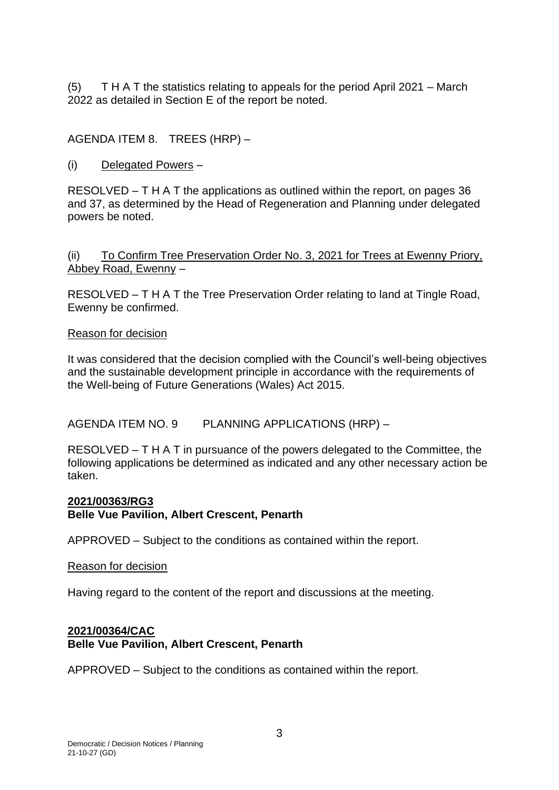(5) T H A T the statistics relating to appeals for the period April 2021 – March 2022 as detailed in Section E of the report be noted.

AGENDA ITEM 8. TREES (HRP) –

(i) Delegated Powers –

RESOLVED – T H A T the applications as outlined within the report, on pages 36 and 37, as determined by the Head of Regeneration and Planning under delegated powers be noted.

(ii) To Confirm Tree Preservation Order No. 3, 2021 for Trees at Ewenny Priory, Abbey Road, Ewenny –

RESOLVED – T H A T the Tree Preservation Order relating to land at Tingle Road, Ewenny be confirmed.

### Reason for decision

It was considered that the decision complied with the Council's well-being objectives and the sustainable development principle in accordance with the requirements of the Well-being of Future Generations (Wales) Act 2015.

AGENDA ITEM NO. 9 PLANNING APPLICATIONS (HRP) –

RESOLVED – T H A T in pursuance of the powers delegated to the Committee, the following applications be determined as indicated and any other necessary action be taken.

#### **2021/00363/RG3 Belle Vue Pavilion, Albert Crescent, Penarth**

APPROVED – Subject to the conditions as contained within the report.

### Reason for decision

Having regard to the content of the report and discussions at the meeting.

### **2021/00364/CAC Belle Vue Pavilion, Albert Crescent, Penarth**

APPROVED – Subject to the conditions as contained within the report.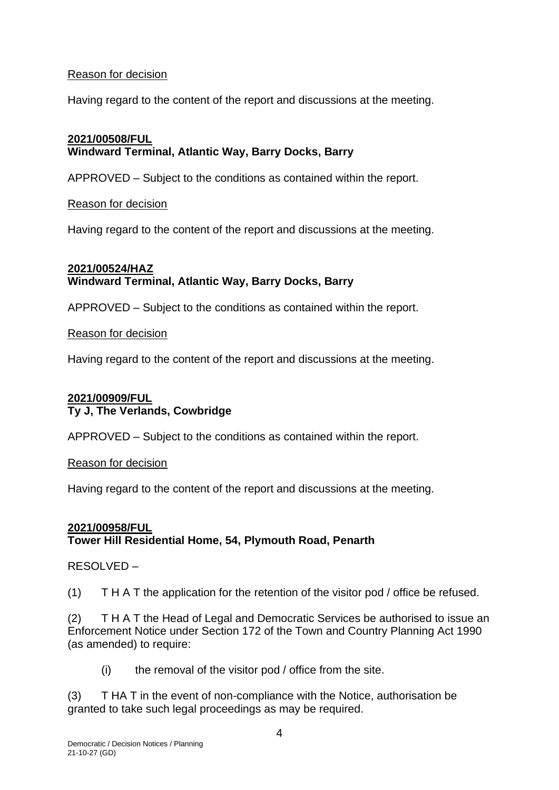#### Reason for decision

Having regard to the content of the report and discussions at the meeting.

### **2021/00508/FUL Windward Terminal, Atlantic Way, Barry Docks, Barry**

APPROVED – Subject to the conditions as contained within the report.

#### Reason for decision

Having regard to the content of the report and discussions at the meeting.

## **2021/00524/HAZ Windward Terminal, Atlantic Way, Barry Docks, Barry**

APPROVED – Subject to the conditions as contained within the report.

#### Reason for decision

Having regard to the content of the report and discussions at the meeting.

## **2021/00909/FUL Ty J, The Verlands, Cowbridge**

APPROVED – Subject to the conditions as contained within the report.

Reason for decision

Having regard to the content of the report and discussions at the meeting.

## **2021/00958/FUL Tower Hill Residential Home, 54, Plymouth Road, Penarth**

### RESOLVED –

(1) T H A T the application for the retention of the visitor pod / office be refused.

(2) T H A T the Head of Legal and Democratic Services be authorised to issue an Enforcement Notice under Section 172 of the Town and Country Planning Act 1990 (as amended) to require:

 $(i)$  the removal of the visitor pod / office from the site.

(3) T HA T in the event of non-compliance with the Notice, authorisation be granted to take such legal proceedings as may be required.